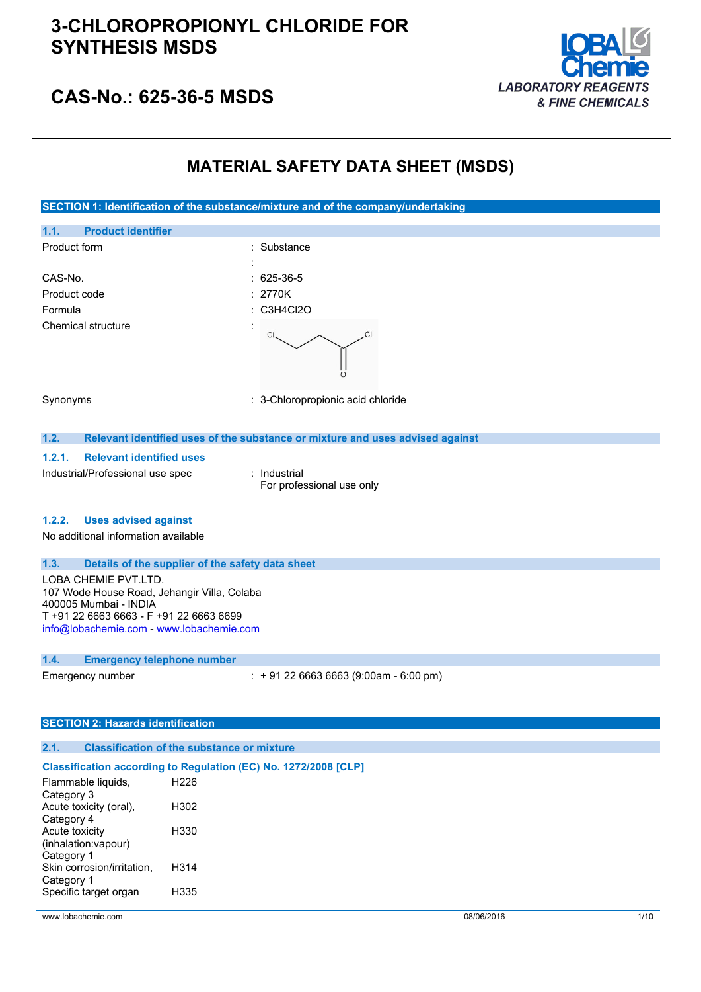

## **CAS-No.: 625-36-5 MSDS**

## **MATERIAL SAFETY DATA SHEET (MSDS)**

**SECTION 1: Identification of the substance/mixture and of the company/undertaking 1.1. Product identifier** Product form : Substance : Substance : CAS-No. : 625-36-5 Product code : 2770K Formula : C3H4Cl2O Chemical structure  $C1$ Synonyms : 3-Chloropropionic acid chloride **1.2. Relevant identified uses of the substance or mixture and uses advised against 1.2.1. Relevant identified uses** Industrial/Professional use spec : Industrial For professional use only **1.2.2. Uses advised against** No additional information available **1.3. Details of the supplier of the safety data sheet** LOBA CHEMIE PVT.LTD. 107 Wode House Road, Jehangir Villa, Colaba 400005 Mumbai - INDIA T +91 22 6663 6663 - F +91 22 6663 6699 [info@lobachemie.com](mailto:info@lobachemie.com) - <www.lobachemie.com> **1.4. Emergency telephone number** Emergency number : + 91 22 6663 6663 (9:00am - 6:00 pm)

#### **SECTION 2: Hazards identification**

#### **2.1. Classification of the substance or mixture**

#### **Classification according to Regulation (EC) No. 1272/2008 [CLP]**

| H226 |
|------|
|      |
| H302 |
|      |
| H330 |
|      |
|      |
| H314 |
|      |
| H335 |
|      |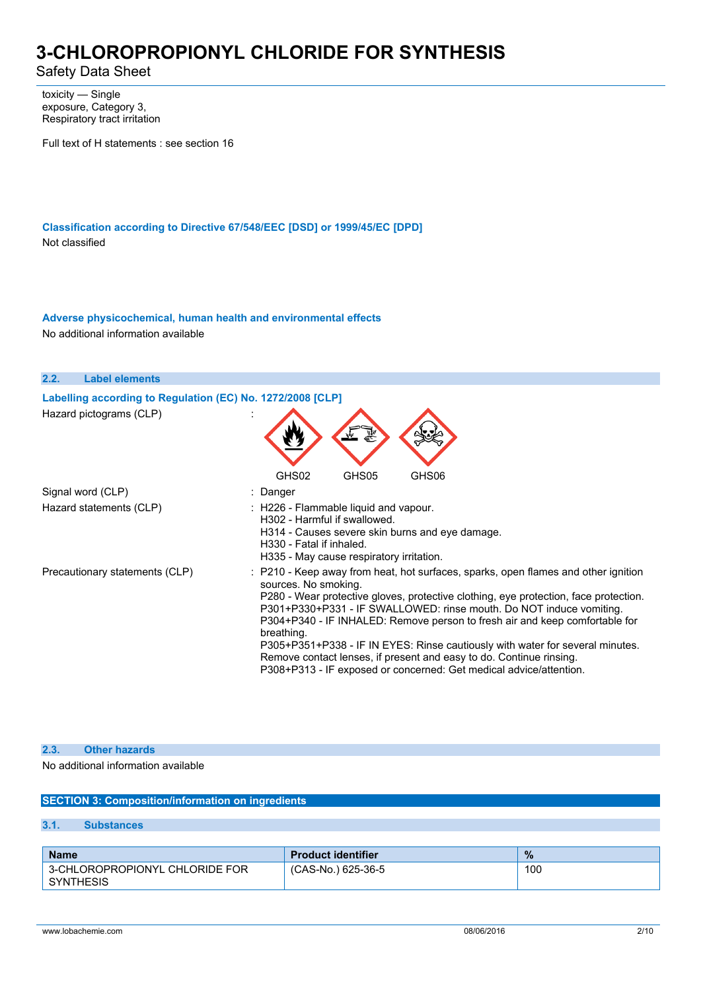Safety Data Sheet

toxicity — Single exposure, Category 3, Respiratory tract irritation

Full text of H statements : see section 16

**Classification according to Directive 67/548/EEC [DSD] or 1999/45/EC [DPD]** Not classified

**Adverse physicochemical, human health and environmental effects** No additional information available

| 2.2.<br><b>Label elements</b>                                                         |                                                                                                                                                                                                                                                                                                                                                                                                                                                                                                                                                                                                      |
|---------------------------------------------------------------------------------------|------------------------------------------------------------------------------------------------------------------------------------------------------------------------------------------------------------------------------------------------------------------------------------------------------------------------------------------------------------------------------------------------------------------------------------------------------------------------------------------------------------------------------------------------------------------------------------------------------|
| Labelling according to Regulation (EC) No. 1272/2008 [CLP]<br>Hazard pictograms (CLP) |                                                                                                                                                                                                                                                                                                                                                                                                                                                                                                                                                                                                      |
|                                                                                       | GHS02<br>GHS05<br>GHS06                                                                                                                                                                                                                                                                                                                                                                                                                                                                                                                                                                              |
| Signal word (CLP)                                                                     | : Danger                                                                                                                                                                                                                                                                                                                                                                                                                                                                                                                                                                                             |
| Hazard statements (CLP)                                                               | : H226 - Flammable liquid and vapour.<br>H302 - Harmful if swallowed.<br>H314 - Causes severe skin burns and eye damage.<br>H330 - Fatal if inhaled.<br>H335 - May cause respiratory irritation.                                                                                                                                                                                                                                                                                                                                                                                                     |
| Precautionary statements (CLP)                                                        | : P210 - Keep away from heat, hot surfaces, sparks, open flames and other ignition<br>sources. No smoking.<br>P280 - Wear protective gloves, protective clothing, eye protection, face protection.<br>P301+P330+P331 - IF SWALLOWED: rinse mouth. Do NOT induce vomiting.<br>P304+P340 - IF INHALED: Remove person to fresh air and keep comfortable for<br>breathing.<br>P305+P351+P338 - IF IN EYES: Rinse cautiously with water for several minutes.<br>Remove contact lenses, if present and easy to do. Continue rinsing.<br>P308+P313 - IF exposed or concerned: Get medical advice/attention. |

### **2.3. Other hazards**

#### No additional information available

### **SECTION 3: Composition/information on ingredients**

### **3.1. Substances**

| <b>Name</b>                                        | <b>Product identifier</b> | $\frac{9}{6}$ |
|----------------------------------------------------|---------------------------|---------------|
| 3-CHLOROPROPIONYL CHLORIDE FOR<br><b>SYNTHESIS</b> | (CAS-No.) 625-36-5        | 100           |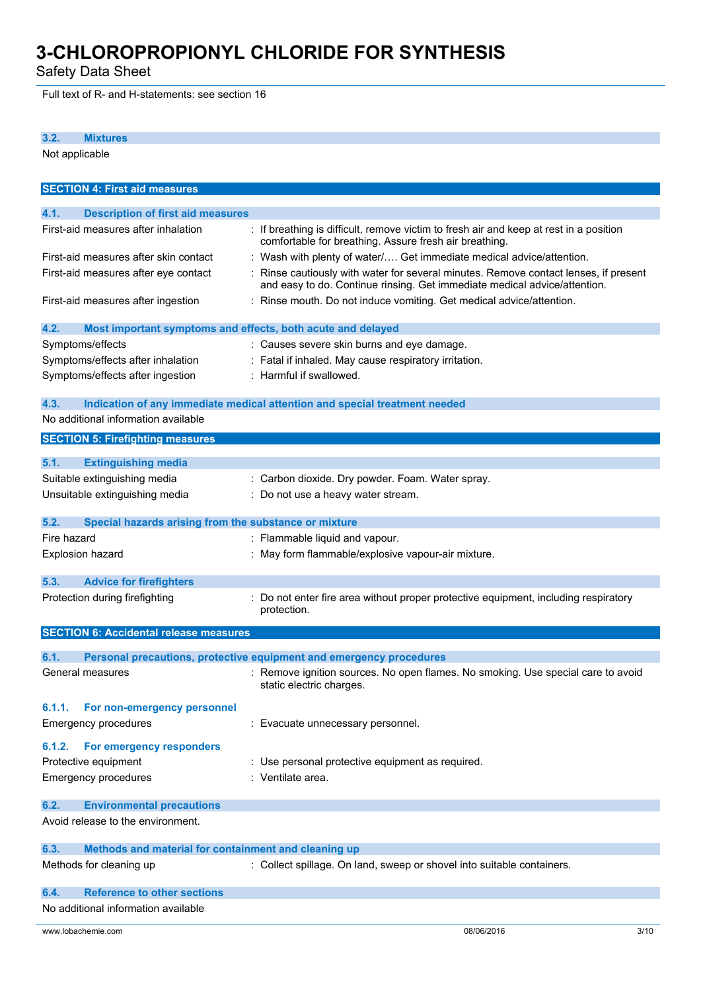Safety Data Sheet

Full text of R- and H-statements: see section 16

### **3.2. Mixtures**

Not applicable

| <b>SECTION 4: First aid measures</b>                                          |                                                                                                                                                                 |
|-------------------------------------------------------------------------------|-----------------------------------------------------------------------------------------------------------------------------------------------------------------|
| 4.1.<br><b>Description of first aid measures</b>                              |                                                                                                                                                                 |
| First-aid measures after inhalation                                           | : If breathing is difficult, remove victim to fresh air and keep at rest in a position                                                                          |
|                                                                               | comfortable for breathing. Assure fresh air breathing.                                                                                                          |
| First-aid measures after skin contact                                         | : Wash with plenty of water/ Get immediate medical advice/attention.                                                                                            |
| First-aid measures after eye contact                                          | Rinse cautiously with water for several minutes. Remove contact lenses, if present<br>and easy to do. Continue rinsing. Get immediate medical advice/attention. |
| First-aid measures after ingestion                                            | : Rinse mouth. Do not induce vomiting. Get medical advice/attention.                                                                                            |
| 4.2.<br>Most important symptoms and effects, both acute and delayed           |                                                                                                                                                                 |
| Symptoms/effects                                                              | : Causes severe skin burns and eye damage.                                                                                                                      |
| Symptoms/effects after inhalation                                             | : Fatal if inhaled. May cause respiratory irritation.                                                                                                           |
| Symptoms/effects after ingestion                                              | : Harmful if swallowed.                                                                                                                                         |
| 4.3.                                                                          | Indication of any immediate medical attention and special treatment needed                                                                                      |
| No additional information available                                           |                                                                                                                                                                 |
| <b>SECTION 5: Firefighting measures</b>                                       |                                                                                                                                                                 |
| 5.1.<br><b>Extinguishing media</b>                                            |                                                                                                                                                                 |
| Suitable extinguishing media                                                  | : Carbon dioxide. Dry powder. Foam. Water spray.                                                                                                                |
| Unsuitable extinguishing media                                                | : Do not use a heavy water stream.                                                                                                                              |
|                                                                               |                                                                                                                                                                 |
| 5.2.<br>Special hazards arising from the substance or mixture                 |                                                                                                                                                                 |
| Fire hazard                                                                   | : Flammable liquid and vapour.                                                                                                                                  |
| <b>Explosion hazard</b>                                                       | May form flammable/explosive vapour-air mixture.                                                                                                                |
| 5.3.<br><b>Advice for firefighters</b>                                        |                                                                                                                                                                 |
| Protection during firefighting                                                | Do not enter fire area without proper protective equipment, including respiratory                                                                               |
|                                                                               | protection.                                                                                                                                                     |
| <b>SECTION 6: Accidental release measures</b>                                 |                                                                                                                                                                 |
| 6.1.                                                                          | Personal precautions, protective equipment and emergency procedures                                                                                             |
| General measures                                                              | : Remove ignition sources. No open flames. No smoking. Use special care to avoid<br>static electric charges.                                                    |
| 6.1.1. For non-emergency personnel                                            |                                                                                                                                                                 |
| <b>Emergency procedures</b>                                                   | : Evacuate unnecessary personnel.                                                                                                                               |
| For emergency responders<br>6.1.2.                                            |                                                                                                                                                                 |
| Protective equipment                                                          | : Use personal protective equipment as required.                                                                                                                |
| <b>Emergency procedures</b>                                                   | : Ventilate area.                                                                                                                                               |
|                                                                               |                                                                                                                                                                 |
| <b>Environmental precautions</b><br>6.2.<br>Avoid release to the environment. |                                                                                                                                                                 |
|                                                                               |                                                                                                                                                                 |
| Methods and material for containment and cleaning up<br>6.3.                  |                                                                                                                                                                 |
| Methods for cleaning up                                                       | : Collect spillage. On land, sweep or shovel into suitable containers.                                                                                          |
| <b>Reference to other sections</b><br>6.4.                                    |                                                                                                                                                                 |
| No additional information available                                           |                                                                                                                                                                 |
|                                                                               |                                                                                                                                                                 |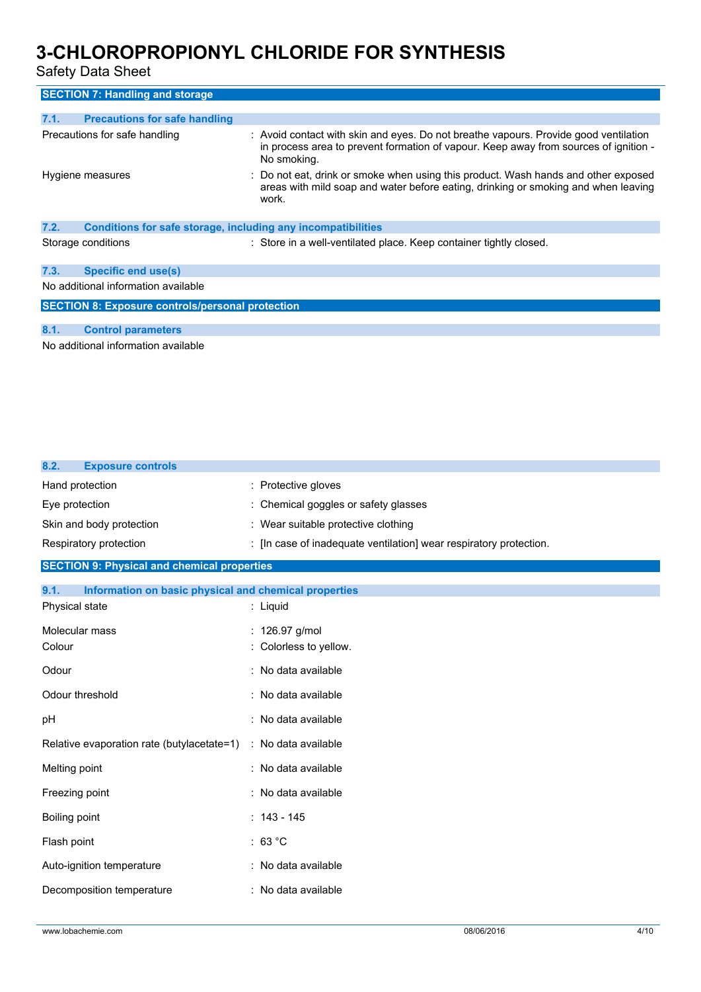Safety Data Sheet

| <b>SECTION 7: Handling and storage</b>                                                                          |                                                                                                                                                                                             |  |
|-----------------------------------------------------------------------------------------------------------------|---------------------------------------------------------------------------------------------------------------------------------------------------------------------------------------------|--|
|                                                                                                                 |                                                                                                                                                                                             |  |
| <b>Precautions for safe handling</b><br>7.1.                                                                    |                                                                                                                                                                                             |  |
| Precautions for safe handling                                                                                   | : Avoid contact with skin and eyes. Do not breathe vapours. Provide good ventilation<br>in process area to prevent formation of vapour. Keep away from sources of ignition -<br>No smoking. |  |
| Hygiene measures                                                                                                | : Do not eat, drink or smoke when using this product. Wash hands and other exposed<br>areas with mild soap and water before eating, drinking or smoking and when leaving<br>work.           |  |
| 7.2.<br>Conditions for safe storage, including any incompatibilities                                            |                                                                                                                                                                                             |  |
| Storage conditions                                                                                              | : Store in a well-ventilated place. Keep container tightly closed.                                                                                                                          |  |
| <b>Specific end use(s)</b><br>7.3.                                                                              |                                                                                                                                                                                             |  |
| No additional information available                                                                             |                                                                                                                                                                                             |  |
| <b>SECTION 8: Exposure controls/personal protection</b>                                                         |                                                                                                                                                                                             |  |
| 8.1.<br><b>Control parameters</b>                                                                               |                                                                                                                                                                                             |  |
| A has a set of the constant of the constant of the constant of the field of the constant of the constant of the |                                                                                                                                                                                             |  |

No additional information available

| 8.2.<br><b>Exposure controls</b>                              |                                                                    |
|---------------------------------------------------------------|--------------------------------------------------------------------|
| Hand protection                                               | : Protective gloves                                                |
| Eye protection                                                | : Chemical goggles or safety glasses                               |
| Skin and body protection                                      | : Wear suitable protective clothing                                |
| Respiratory protection                                        | : [In case of inadequate ventilation] wear respiratory protection. |
| <b>SECTION 9: Physical and chemical properties</b>            |                                                                    |
| 9.1.<br>Information on basic physical and chemical properties |                                                                    |
| Physical state                                                | : Liquid                                                           |
| Molecular mass                                                | : 126.97 g/mol                                                     |
| Colour                                                        | : Colorless to yellow.                                             |
| Odour                                                         | : No data available                                                |
| Odour threshold                                               | : No data available                                                |
| pH                                                            | : No data available                                                |
| Relative evaporation rate (butylacetate=1)                    | : No data available                                                |
| Melting point                                                 | : No data available                                                |
| Freezing point                                                | : No data available                                                |
| Boiling point                                                 | $: 143 - 145$                                                      |
| Flash point                                                   | : 63 °C                                                            |
| Auto-ignition temperature                                     | : No data available                                                |
| Decomposition temperature                                     | : No data available                                                |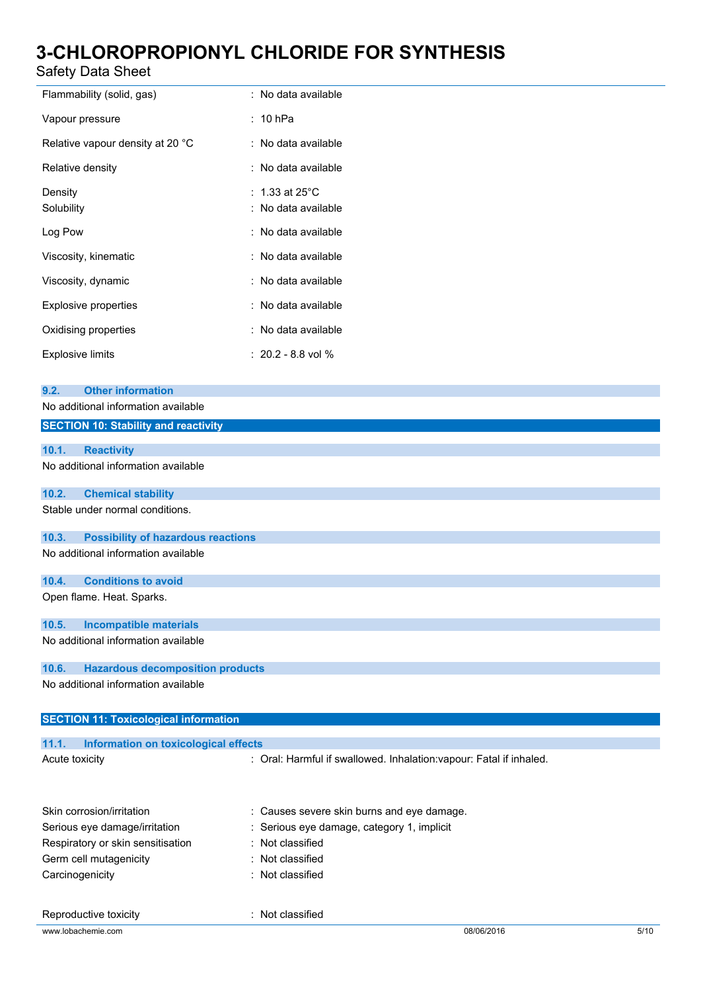### Safety Data Sheet

| Flammability (solid, gas)        | : No data available       |
|----------------------------------|---------------------------|
| Vapour pressure                  | $: 10$ hPa                |
| Relative vapour density at 20 °C | : No data available       |
| Relative density                 | : No data available       |
| Density                          | : 1.33 at 25 $^{\circ}$ C |
| Solubility                       | : No data available       |
| Log Pow                          | : No data available       |
| Viscosity, kinematic             | : No data available       |
| Viscosity, dynamic               | : No data available       |
| <b>Explosive properties</b>      | : No data available       |
| Oxidising properties             | : No data available       |
| <b>Explosive limits</b>          | $: 20.2 - 8.8$ vol %      |

| 9.2.           | <b>Other information</b>                     |                                                                     |
|----------------|----------------------------------------------|---------------------------------------------------------------------|
|                | No additional information available          |                                                                     |
|                | <b>SECTION 10: Stability and reactivity</b>  |                                                                     |
|                |                                              |                                                                     |
| 10.1.          | <b>Reactivity</b>                            |                                                                     |
|                | No additional information available          |                                                                     |
| 10.2.          | <b>Chemical stability</b>                    |                                                                     |
|                | Stable under normal conditions.              |                                                                     |
| 10.3.          | <b>Possibility of hazardous reactions</b>    |                                                                     |
|                | No additional information available          |                                                                     |
| 10.4.          | <b>Conditions to avoid</b>                   |                                                                     |
|                | Open flame. Heat. Sparks.                    |                                                                     |
| 10.5.          | <b>Incompatible materials</b>                |                                                                     |
|                | No additional information available          |                                                                     |
| 10.6.          | <b>Hazardous decomposition products</b>      |                                                                     |
|                | No additional information available          |                                                                     |
|                | <b>SECTION 11: Toxicological information</b> |                                                                     |
| 11.1.          | Information on toxicological effects         |                                                                     |
| Acute toxicity |                                              | : Oral: Harmful if swallowed. Inhalation: vapour: Fatal if inhaled. |
|                | Skin corrosion/irritation                    | Causes severe skin burns and eye damage.                            |
|                | Serious eye damage/irritation                | Serious eye damage, category 1, implicit                            |
|                | Respiratory or skin sensitisation            | Not classified                                                      |
|                | Germ cell mutagenicity                       | Not classified                                                      |

Carcinogenicity **Carcinogenicity 1989**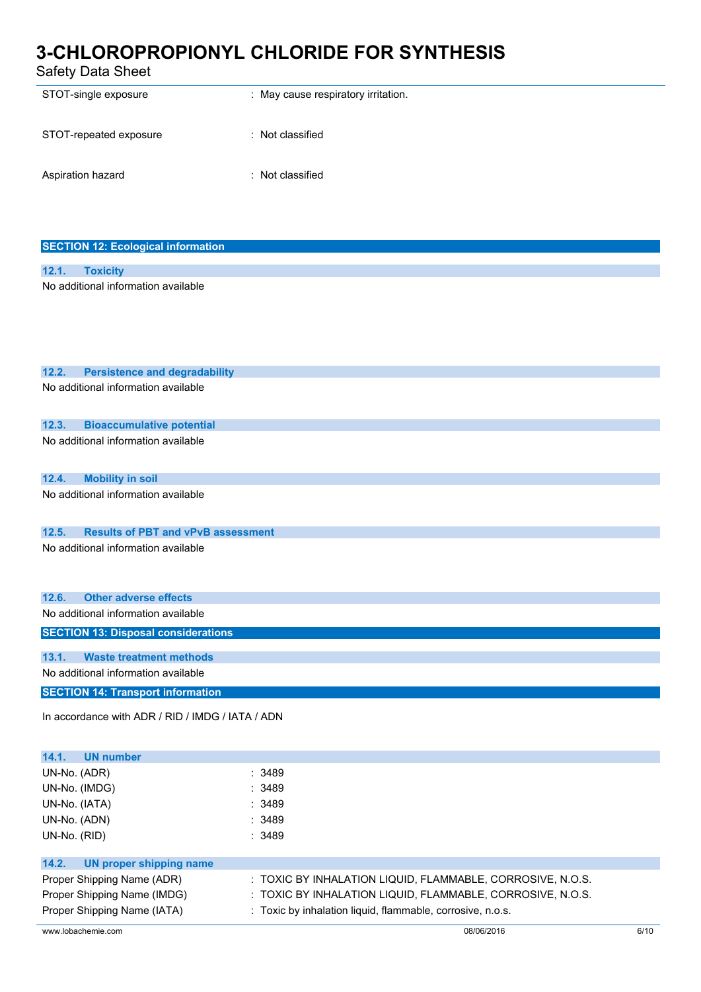Safety Data Sheet

| STOT-single exposure   | : May cause respiratory irritation. |
|------------------------|-------------------------------------|
| STOT-repeated exposure | : Not classified                    |
| Aspiration hazard      | : Not classified                    |

| <b>SECTION 12: Ecological information</b> |                                     |  |  |
|-------------------------------------------|-------------------------------------|--|--|
|                                           |                                     |  |  |
|                                           | 12.1. Toxicity                      |  |  |
|                                           | No additional information available |  |  |

| 12.2.                                      | <b>Persistence and degradability</b>             |        |
|--------------------------------------------|--------------------------------------------------|--------|
|                                            | No additional information available              |        |
|                                            |                                                  |        |
| 12.3.                                      | <b>Bioaccumulative potential</b>                 |        |
|                                            | No additional information available              |        |
|                                            |                                                  |        |
| 12.4.                                      | <b>Mobility in soil</b>                          |        |
|                                            |                                                  |        |
|                                            | No additional information available              |        |
|                                            |                                                  |        |
| 12.5.                                      | <b>Results of PBT and vPvB assessment</b>        |        |
|                                            | No additional information available              |        |
|                                            |                                                  |        |
|                                            |                                                  |        |
| 12.6.                                      | <b>Other adverse effects</b>                     |        |
|                                            | No additional information available              |        |
| <b>SECTION 13: Disposal considerations</b> |                                                  |        |
|                                            |                                                  |        |
| 13.1.                                      | <b>Waste treatment methods</b>                   |        |
|                                            | No additional information available              |        |
|                                            | <b>SECTION 14: Transport information</b>         |        |
|                                            |                                                  |        |
|                                            | In accordance with ADR / RID / IMDG / IATA / ADN |        |
|                                            |                                                  |        |
| 14.1.                                      | <b>UN number</b>                                 |        |
| UN-No. (ADR)                               |                                                  | : 3489 |
| UN-No. (IMDG)                              |                                                  | : 3489 |
| UN-No. (IATA)                              |                                                  | 3489   |
| UN-No. (ADN)                               |                                                  | : 3489 |
|                                            |                                                  |        |

| UN-No. (RID)                  | :3489                                                      |
|-------------------------------|------------------------------------------------------------|
| 14.2. UN proper shipping name |                                                            |
| Proper Shipping Name (ADR)    | : TOXIC BY INHALATION LIQUID, FLAMMABLE, CORROSIVE, N.O.S. |
| Proper Shipping Name (IMDG)   | : TOXIC BY INHALATION LIQUID, FLAMMABLE, CORROSIVE, N.O.S. |
| Proper Shipping Name (IATA)   | : Toxic by inhalation liquid, flammable, corrosive, n.o.s. |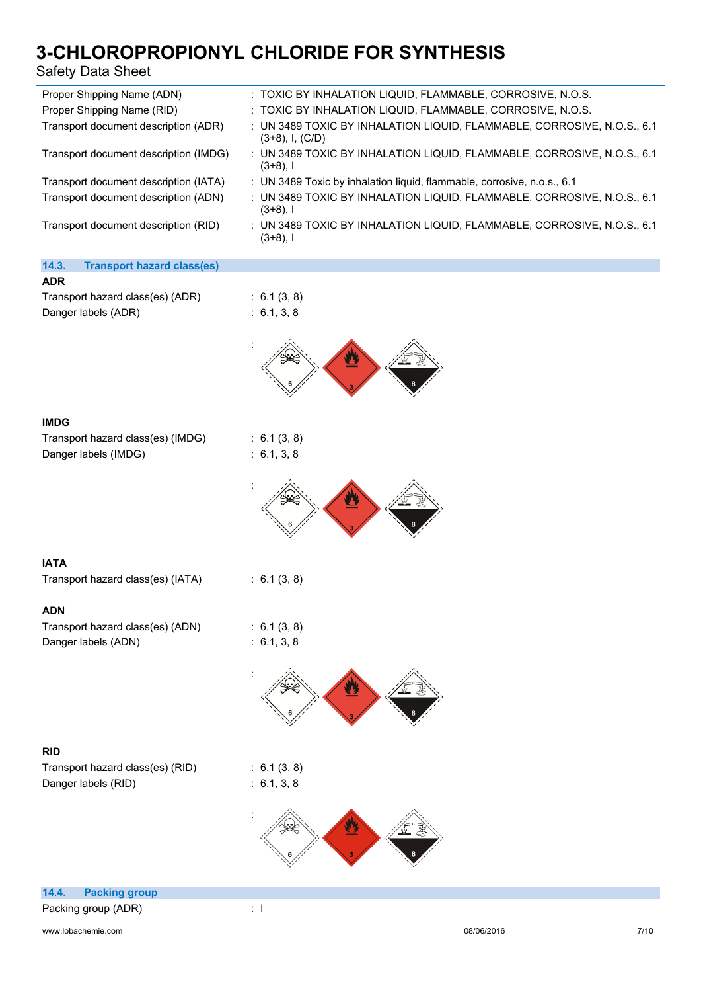### Safety Data Sheet

| <b>Safety Data Sheet</b>                                  | טיטוובטולט זטיבע ווערנט און דערנט זייר און דערנט זייר אין דערנ                                  |
|-----------------------------------------------------------|-------------------------------------------------------------------------------------------------|
| Proper Shipping Name (ADN)                                | : TOXIC BY INHALATION LIQUID, FLAMMABLE, CORROSIVE, N.O.S.                                      |
| Proper Shipping Name (RID)                                | : TOXIC BY INHALATION LIQUID, FLAMMABLE, CORROSIVE, N.O.S.                                      |
| Transport document description (ADR)                      | : UN 3489 TOXIC BY INHALATION LIQUID, FLAMMABLE, CORROSIVE, N.O.S., 6.1<br>$(3+8)$ , I, $(C/D)$ |
| Transport document description (IMDG)                     | : UN 3489 TOXIC BY INHALATION LIQUID, FLAMMABLE, CORROSIVE, N.O.S., 6.1<br>$(3+8)$ , I          |
| Transport document description (IATA)                     | : UN 3489 Toxic by inhalation liquid, flammable, corrosive, n.o.s., 6.1                         |
| Transport document description (ADN)                      | : UN 3489 TOXIC BY INHALATION LIQUID, FLAMMABLE, CORROSIVE, N.O.S., 6.1<br>$(3+8)$ , I          |
| Transport document description (RID)                      | : UN 3489 TOXIC BY INHALATION LIQUID, FLAMMABLE, CORROSIVE, N.O.S., 6.1<br>$(3+8)$ , I          |
| <b>Transport hazard class(es)</b><br>14.3.                |                                                                                                 |
| <b>ADR</b>                                                |                                                                                                 |
| Transport hazard class(es) (ADR)                          | : 6.1(3, 8)                                                                                     |
| Danger labels (ADR)                                       | : 6.1, 3, 8                                                                                     |
|                                                           |                                                                                                 |
| <b>IMDG</b>                                               |                                                                                                 |
| Transport hazard class(es) (IMDG)<br>Danger labels (IMDG) | : 6.1(3, 8)<br>: 6.1, 3, 8                                                                      |
|                                                           |                                                                                                 |
| <b>IATA</b>                                               |                                                                                                 |
| Transport hazard class(es) (IATA)                         | : 6.1(3, 8)                                                                                     |
| <b>ADN</b>                                                |                                                                                                 |
| Transport hazard class(es) (ADN)                          | : 6.1(3, 8)                                                                                     |
| Danger labels (ADN)                                       | : 6.1, 3, 8                                                                                     |
|                                                           |                                                                                                 |
| <b>RID</b>                                                |                                                                                                 |
| Transport hazard class(es) (RID)                          | : 6.1(3, 8)                                                                                     |
| Danger labels (RID)                                       | : 6.1, 3, 8                                                                                     |



| 14.4. Packing group |  |
|---------------------|--|
| Packing group (ADR) |  |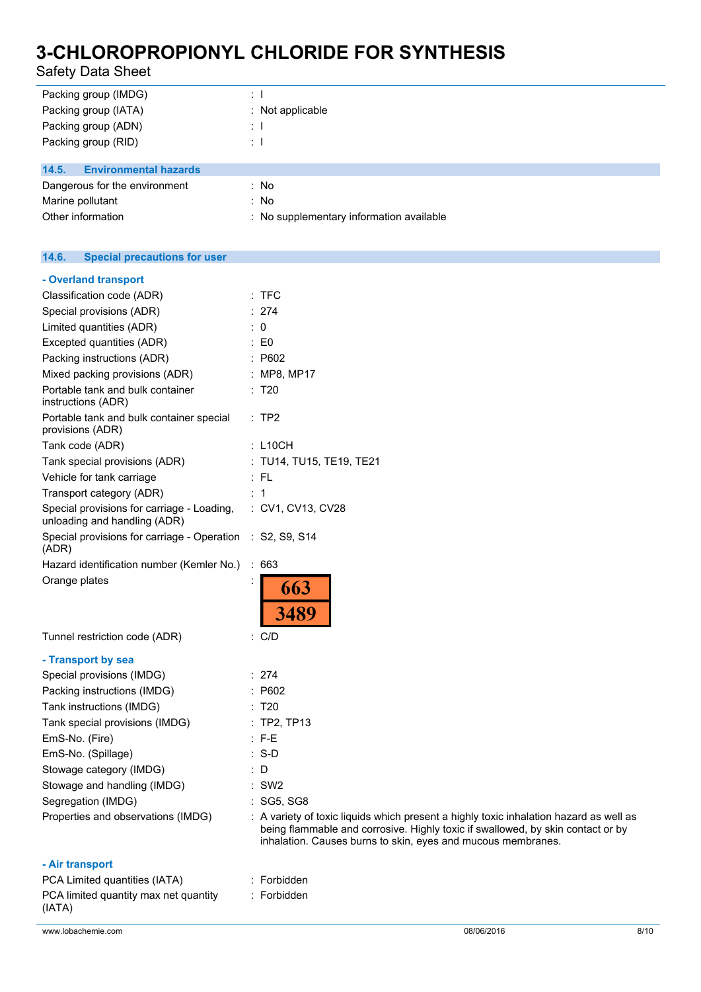Safety Data Sheet

| Packing group (IMDG)                  | $\therefore$ 1                           |
|---------------------------------------|------------------------------------------|
| Packing group (IATA)                  | $\therefore$ Not applicable              |
| Packing group (ADN)                   | ÷П                                       |
| Packing group (RID)                   | ÷П                                       |
|                                       |                                          |
| <b>Environmental hazards</b><br>14.5. |                                          |
| Dangerous for the environment         | : No                                     |
| Marine pollutant                      | : No                                     |
| Other information                     | : No supplementary information available |
|                                       |                                          |

#### $14.6.$ **14.6. Special precautions for user**

| - Overland transport                                                       |                                                                                                                                                                                                                                           |
|----------------------------------------------------------------------------|-------------------------------------------------------------------------------------------------------------------------------------------------------------------------------------------------------------------------------------------|
| Classification code (ADR)                                                  | $:$ TFC                                                                                                                                                                                                                                   |
| Special provisions (ADR)                                                   | : 274                                                                                                                                                                                                                                     |
| Limited quantities (ADR)                                                   | $\colon 0$                                                                                                                                                                                                                                |
| Excepted quantities (ADR)                                                  | $\therefore$ EO                                                                                                                                                                                                                           |
| Packing instructions (ADR)                                                 | : P602                                                                                                                                                                                                                                    |
| Mixed packing provisions (ADR)                                             | : MP8, MP17                                                                                                                                                                                                                               |
| Portable tank and bulk container<br>instructions (ADR)                     | : T20                                                                                                                                                                                                                                     |
| Portable tank and bulk container special<br>provisions (ADR)               | $:$ TP2                                                                                                                                                                                                                                   |
| Tank code (ADR)                                                            | $:$ L10CH                                                                                                                                                                                                                                 |
| Tank special provisions (ADR)                                              | : TU14, TU15, TE19, TE21                                                                                                                                                                                                                  |
| Vehicle for tank carriage                                                  | : FL                                                                                                                                                                                                                                      |
| Transport category (ADR)                                                   | : 1                                                                                                                                                                                                                                       |
| Special provisions for carriage - Loading,<br>unloading and handling (ADR) | : CV1, CV13, CV28                                                                                                                                                                                                                         |
| Special provisions for carriage - Operation<br>(ADR)                       | $\therefore$ S2, S9, S14                                                                                                                                                                                                                  |
| Hazard identification number (Kemler No.)                                  | : 663                                                                                                                                                                                                                                     |
| Orange plates                                                              | 663<br><b>3489</b>                                                                                                                                                                                                                        |
| Tunnel restriction code (ADR)                                              | : C/D                                                                                                                                                                                                                                     |
| - Transport by sea                                                         |                                                                                                                                                                                                                                           |
| Special provisions (IMDG)                                                  | : 274                                                                                                                                                                                                                                     |
| Packing instructions (IMDG)                                                | : P602                                                                                                                                                                                                                                    |
| Tank instructions (IMDG)                                                   | : T20                                                                                                                                                                                                                                     |
| Tank special provisions (IMDG)                                             | $:$ TP2, TP13                                                                                                                                                                                                                             |
| EmS-No. (Fire)                                                             | $: F-E$                                                                                                                                                                                                                                   |
| EmS-No. (Spillage)                                                         | $:$ S-D                                                                                                                                                                                                                                   |
| Stowage category (IMDG)                                                    | : D                                                                                                                                                                                                                                       |
| Stowage and handling (IMDG)                                                | $:$ SW2                                                                                                                                                                                                                                   |
| Segregation (IMDG)                                                         | : SG5, SG8                                                                                                                                                                                                                                |
| Properties and observations (IMDG)                                         | : A variety of toxic liquids which present a highly toxic inhalation hazard as well as<br>being flammable and corrosive. Highly toxic if swallowed, by skin contact or by<br>inhalation. Causes burns to skin, eyes and mucous membranes. |
| - Air transport                                                            |                                                                                                                                                                                                                                           |
|                                                                            |                                                                                                                                                                                                                                           |

| .                                               |             |
|-------------------------------------------------|-------------|
| PCA Limited quantities (IATA)                   | : Forbidden |
| PCA limited quantity max net quantity<br>(IATA) | : Forbidden |
|                                                 |             |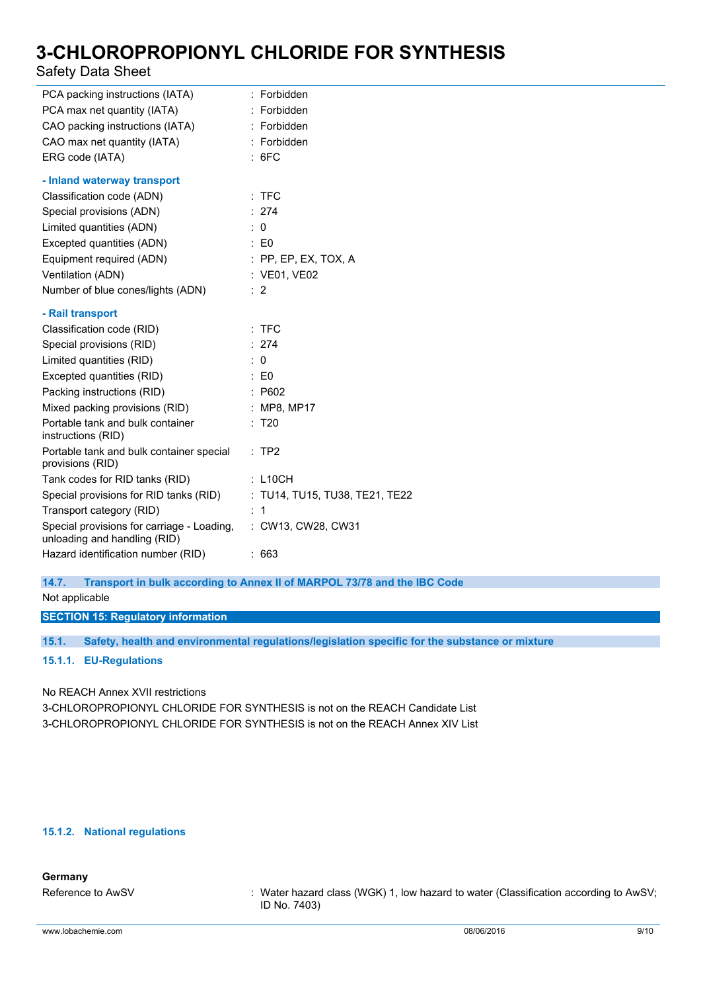### Safety Data Sheet

| PCA packing instructions (IATA)                                            | : Forbidden                    |
|----------------------------------------------------------------------------|--------------------------------|
| PCA max net quantity (IATA)                                                | : Forbidden                    |
| CAO packing instructions (IATA)                                            | : Forbidden                    |
| CAO max net quantity (IATA)                                                | : Forbidden                    |
| ERG code (IATA)                                                            | : 6FC                          |
| - Inland waterway transport                                                |                                |
| Classification code (ADN)                                                  | $:$ TFC                        |
| Special provisions (ADN)                                                   | : 274                          |
| Limited quantities (ADN)                                                   | $\therefore$ 0                 |
| Excepted quantities (ADN)                                                  | $\therefore$ EO                |
| Equipment required (ADN)                                                   | $:$ PP, EP, EX, TOX, A         |
| Ventilation (ADN)                                                          | : VE01, VE02                   |
| Number of blue cones/lights (ADN)                                          | $\therefore$ 2                 |
| - Rail transport                                                           |                                |
| Classification code (RID)                                                  | $:$ TFC                        |
| Special provisions (RID)                                                   | : 274                          |
| Limited quantities (RID)                                                   | $\therefore$ 0                 |
| Excepted quantities (RID)                                                  | $\therefore$ EO                |
| Packing instructions (RID)                                                 | : P602                         |
| Mixed packing provisions (RID)                                             | : MP8, MP17                    |
| Portable tank and bulk container<br>instructions (RID)                     | : T20                          |
| Portable tank and bulk container special<br>provisions (RID)               | :TP2                           |
| Tank codes for RID tanks (RID)                                             | : L10CH                        |
| Special provisions for RID tanks (RID)                                     | : TU14, TU15, TU38, TE21, TE22 |
| Transport category (RID)                                                   | $\therefore$ 1                 |
| Special provisions for carriage - Loading,<br>unloading and handling (RID) | : CW13, CW28, CW31             |
| Hazard identification number (RID)                                         | :663                           |

**14.7. Transport in bulk according to Annex II of MARPOL 73/78 and the IBC Code**

Not applicable

**SECTION 15: Regulatory information**

**15.1. Safety, health and environmental regulations/legislation specific for the substance or mixture**

**15.1.1. EU-Regulations**

No REACH Annex XVII restrictions

3-CHLOROPROPIONYL CHLORIDE FOR SYNTHESIS is not on the REACH Candidate List 3-CHLOROPROPIONYL CHLORIDE FOR SYNTHESIS is not on the REACH Annex XIV List

### **15.1.2. National regulations**

### **Germany**

Reference to AwSV : Water hazard class (WGK) 1, low hazard to water (Classification according to AwSV; ID No. 7403)